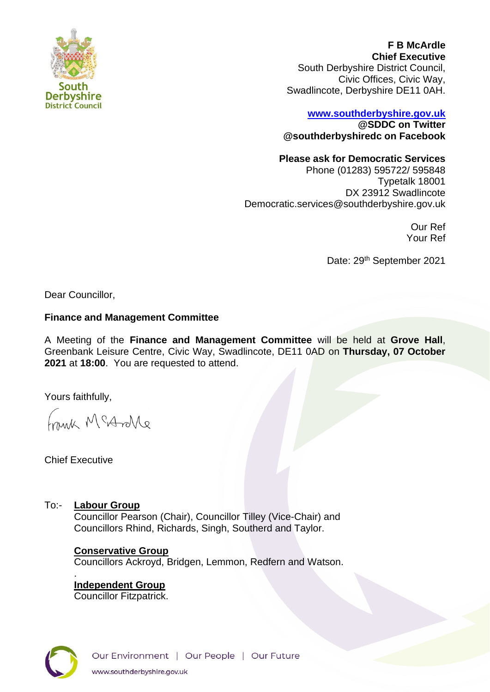

**F B McArdle Chief Executive** South Derbyshire District Council, Civic Offices, Civic Way, Swadlincote, Derbyshire DE11 0AH.

# **[www.southderbyshire.gov.uk](http://www.southderbyshire.gov.uk/) @SDDC on Twitter**

**@southderbyshiredc on Facebook**

## **Please ask for Democratic Services**

Phone (01283) 595722/ 595848 Typetalk 18001 DX 23912 Swadlincote Democratic.services@southderbyshire.gov.uk

> Our Ref Your Ref

Date: 29<sup>th</sup> September 2021

Dear Councillor,

## **Finance and Management Committee**

A Meeting of the **Finance and Management Committee** will be held at **Grove Hall**, Greenbank Leisure Centre, Civic Way, Swadlincote, DE11 0AD on **Thursday, 07 October 2021** at **18:00**. You are requested to attend.

Yours faithfully,

Frank McArlle

Chief Executive

.

To:- **Labour Group**

Councillor Pearson (Chair), Councillor Tilley (Vice-Chair) and Councillors Rhind, Richards, Singh, Southerd and Taylor.

## **Conservative Group**

Councillors Ackroyd, Bridgen, Lemmon, Redfern and Watson.

**Independent Group**  Councillor Fitzpatrick.

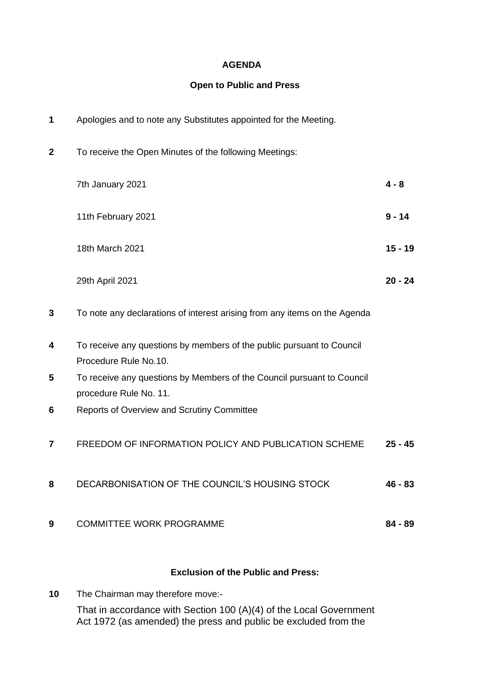### **AGENDA**

#### **Open to Public and Press**

| 1            | Apologies and to note any Substitutes appointed for the Meeting.                                 |           |
|--------------|--------------------------------------------------------------------------------------------------|-----------|
| $\mathbf{2}$ | To receive the Open Minutes of the following Meetings:                                           |           |
|              | 7th January 2021                                                                                 | $4 - 8$   |
|              | 11th February 2021                                                                               | $9 - 14$  |
|              | 18th March 2021                                                                                  | $15 - 19$ |
|              | 29th April 2021                                                                                  | $20 - 24$ |
| 3            | To note any declarations of interest arising from any items on the Agenda                        |           |
| 4            | To receive any questions by members of the public pursuant to Council<br>Procedure Rule No.10.   |           |
| 5            | To receive any questions by Members of the Council pursuant to Council<br>procedure Rule No. 11. |           |
| 6            | Reports of Overview and Scrutiny Committee                                                       |           |
| 7            | FREEDOM OF INFORMATION POLICY AND PUBLICATION SCHEME                                             | $25 - 45$ |
| 8            | DECARBONISATION OF THE COUNCIL'S HOUSING STOCK                                                   | 46 - 83   |
| 9            | <b>COMMITTEE WORK PROGRAMME</b>                                                                  | $84 - 89$ |
|              |                                                                                                  |           |

# **Exclusion of the Public and Press:**

**10** The Chairman may therefore move:- That in accordance with Section 100 (A)(4) of the Local Government Act 1972 (as amended) the press and public be excluded from the